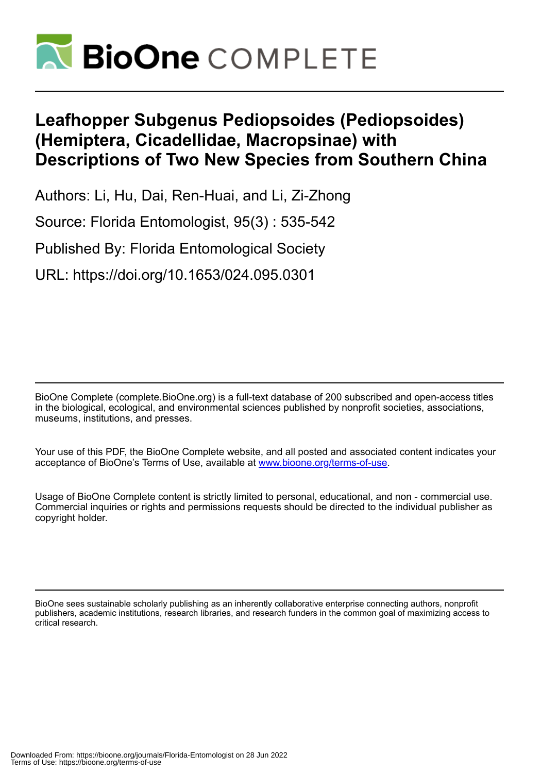

# **Leafhopper Subgenus Pediopsoides (Pediopsoides) (Hemiptera, Cicadellidae, Macropsinae) with Descriptions of Two New Species from Southern China**

Authors: Li, Hu, Dai, Ren-Huai, and Li, Zi-Zhong

Source: Florida Entomologist, 95(3) : 535-542

Published By: Florida Entomological Society

URL: https://doi.org/10.1653/024.095.0301

BioOne Complete (complete.BioOne.org) is a full-text database of 200 subscribed and open-access titles in the biological, ecological, and environmental sciences published by nonprofit societies, associations, museums, institutions, and presses.

Your use of this PDF, the BioOne Complete website, and all posted and associated content indicates your acceptance of BioOne's Terms of Use, available at www.bioone.org/terms-of-use.

Usage of BioOne Complete content is strictly limited to personal, educational, and non - commercial use. Commercial inquiries or rights and permissions requests should be directed to the individual publisher as copyright holder.

BioOne sees sustainable scholarly publishing as an inherently collaborative enterprise connecting authors, nonprofit publishers, academic institutions, research libraries, and research funders in the common goal of maximizing access to critical research.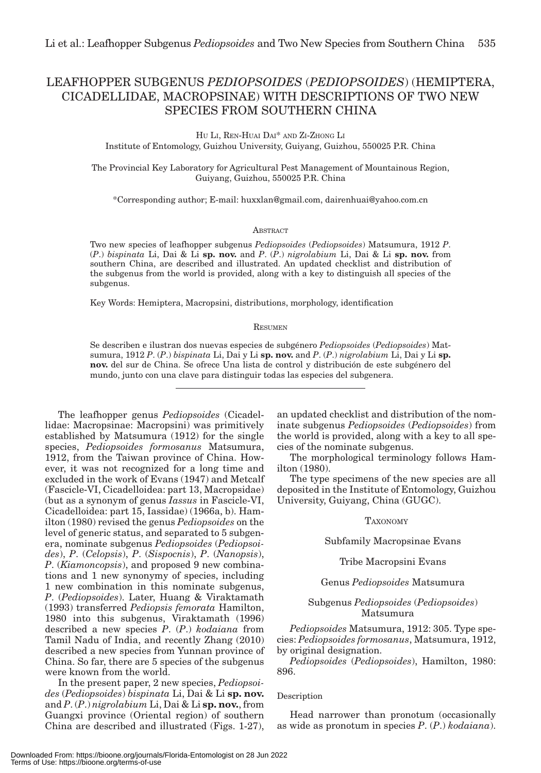## LEAFHOPPER SUBGENUS *PEDIOPSOIDES* (*PEDIOPSOIDES*) (HEMIPTERA, CICADELLIDAE, MACROPSINAE) WITH DESCRIPTIONS OF TWO NEW SPECIES FROM SOUTHERN CHINA

HU LI, REN-HUAI DAI\* AND ZI-ZHONG LI Institute of Entomology, Guizhou University, Guiyang, Guizhou, 550025 P.R. China

The Provincial Key Laboratory for Agricultural Pest Management of Mountainous Region, Guiyang, Guizhou, 550025 P.R. China

\*Corresponding author; E-mail: huxxlan@gmail.com, dairenhuai@yahoo.com.cn

#### **ABSTRACT**

Two new species of leafhopper subgenus *Pediopsoides* (*Pediopsoides*) Matsumura, 1912 *P*. (*P*.) *bispinata* Li, Dai & Li **sp. nov.** and *P*. (*P*.) *nigrolabium* Li, Dai & Li **sp. nov.** from southern China, are described and illustrated. An updated checklist and distribution of the subgenus from the world is provided, along with a key to distinguish all species of the subgenus.

Key Words: Hemiptera, Macropsini, distributions, morphology, identification

#### **RESUMEN**

Se describen e ilustran dos nuevas especies de subgénero *Pediopsoides* (*Pediopsoides*) Matsumura, 1912 *P*. (*P*.) *bispinata* Li, Dai y Li **sp. nov.** and *P*. (*P*.) *nigrolabium* Li, Dai y Li **sp. nov.** del sur de China. Se ofrece Una lista de control y distribución de este subgénero del mundo, junto con una clave para distinguir todas las especies del subgenera.

The leafhopper genus *Pediopsoides* (Cicadellidae: Macropsinae: Macropsini) was primitively established by Matsumura (1912) for the single species, *Pediopsoides formosanus* Matsumura, 1912, from the Taiwan province of China. However, it was not recognized for a long time and excluded in the work of Evans (1947) and Metcalf (Fascicle-VI, Cicadelloidea: part 13, Macropsidae) (but as a synonym of genus *Iassus* in Fascicle-VI, Cicadelloidea: part 15, Iassidae) (1966a, b). Hamilton (1980) revised the genus *Pediopsoides* on the level of generic status, and separated to 5 subgenera, nominate subgenus *Pediopsoides* (*Pediopsoides*), *P*. (*Celopsis*), *P*. (*Sispocnis*), *P*. (*Nanopsis*), *P*. (*Kiamoncopsis*), and proposed 9 new combinations and 1 new synonymy of species, including 1 new combination in this nominate subgenus, *P*. (*Pediopsoides*). Later, Huang & Viraktamath (1993) transferred *Pediopsis femorata* Hamilton, 1980 into this subgenus, Viraktamath (1996) described a new species *P*. (*P*.) *kodaiana* from Tamil Nadu of India, and recently Zhang (2010) described a new species from Yunnan province of China. So far, there are 5 species of the subgenus were known from the world.

In the present paper, 2 new species, *Pediopsoides* (*Pediopsoides*) *bispinata* Li, Dai & Li **sp. nov.** and *P*. (*P*.) *nigrolabium* Li, Dai & Li **sp. nov.**, from Guangxi province (Oriental region) of southern China are described and illustrated (Figs. 1-27),

an updated checklist and distribution of the nominate subgenus *Pediopsoides* (*Pediopsoides*) from the world is provided, along with a key to all species of the nominate subgenus.

The morphological terminology follows Hamilton (1980).

The type specimens of the new species are all deposited in the Institute of Entomology, Guizhou University, Guiyang, China (GUGC).

#### TAXONOMY

Subfamily Macropsinae Evans

Tribe Macropsini Evans

Genus *Pediopsoides* Matsumura

#### Subgenus *Pediopsoides* (*Pediopsoides*) Matsumura

*Pediopsoides* Matsumura, 1912: 305. Type species: *Pediopsoides formosanus*, Matsumura, 1912, by original designation.

*Pediopsoides* (*Pediopsoides*), Hamilton, 1980: 896.

#### Description

Head narrower than pronotum (occasionally as wide as pronotum in species *P*. (*P*.) *kodaiana*).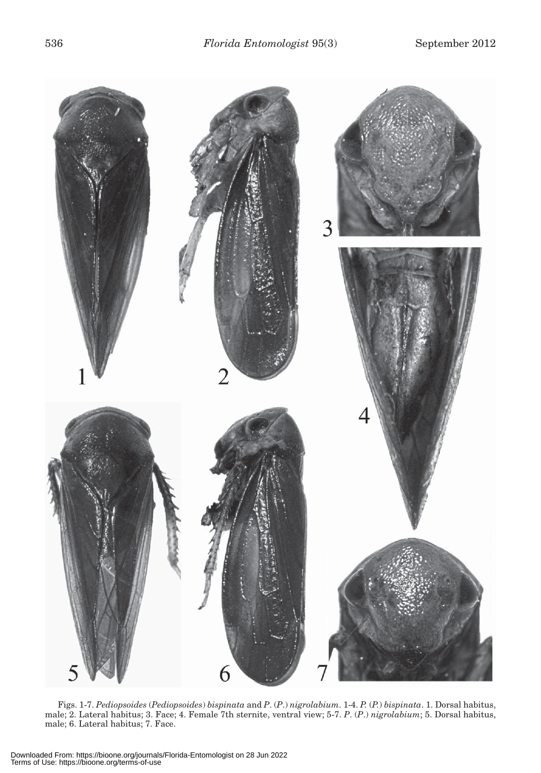

Figs. 1-7. *Pediopsoides* (*Pediopsoides*) *bispinata* and *P*. (*P*.) *nigrolabium*. 1-4. *P.* (*P.*) *bispinata*. 1. Dorsal habitus, male; 2. Lateral habitus; 3. Face; 4. Female 7th sternite, ventral view; 5-7. *P*. (*P*.) *nigrolabium*; 5. Dorsal habitus, male; 6. Lateral habitus; 7. Face.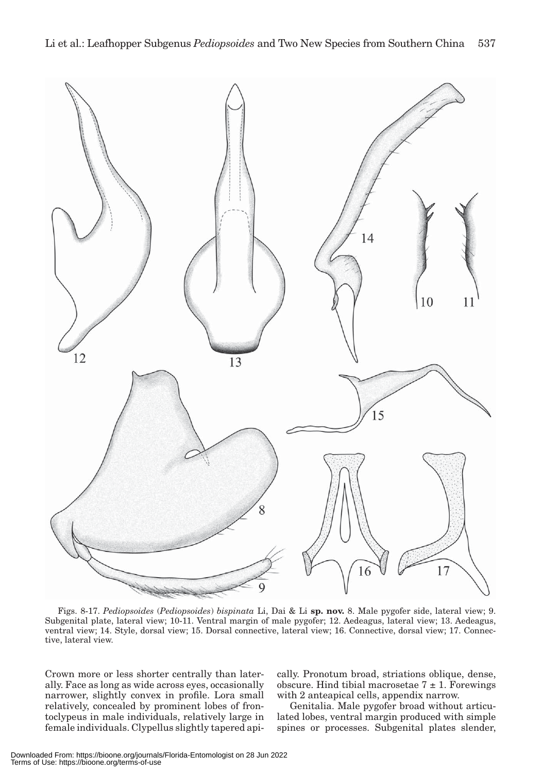

Figs. 8-17. *Pediopsoides* (*Pediopsoides*) *bispinata* Li, Dai & Li **sp. nov.** 8. Male pygofer side, lateral view; 9. Subgenital plate, lateral view; 10-11. Ventral margin of male pygofer; 12. Aedeagus, lateral view; 13. Aedeagus, ventral view; 14. Style, dorsal view; 15. Dorsal connective, lateral view; 16. Connective, dorsal view; 17. Connective, lateral view.

Crown more or less shorter centrally than laterally. Face as long as wide across eyes, occasionally narrower, slightly convex in profile. Lora small relatively, concealed by prominent lobes of frontoclypeus in male individuals, relatively large in female individuals. Clypellus slightly tapered apically. Pronotum broad, striations oblique, dense, obscure. Hind tibial macrosetae  $7 \pm 1$ . Forewings with 2 anteapical cells, appendix narrow.

Genitalia. Male pygofer broad without articulated lobes, ventral margin produced with simple spines or processes. Subgenital plates slender,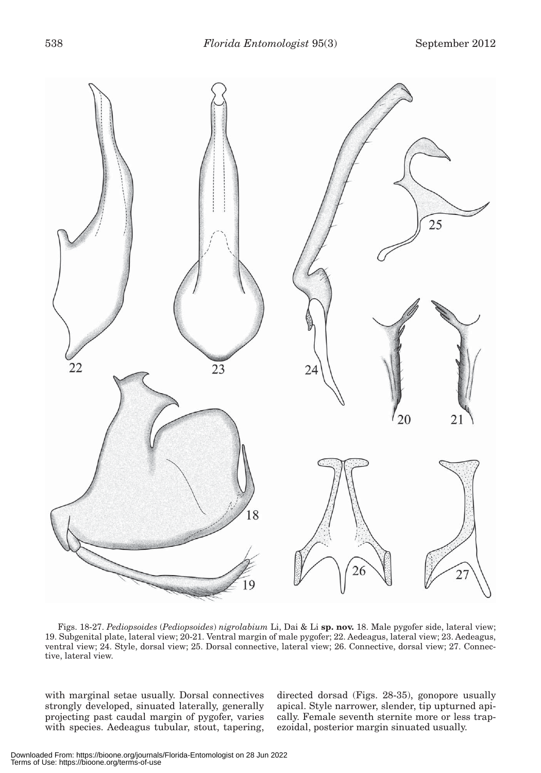| 538 | <i>Florida Entomologist</i> 95(3) | September 2012 |
|-----|-----------------------------------|----------------|
|     |                                   |                |



Figs. 18-27. *Pediopsoides* (*Pediopsoides*) *nigrolabium* Li, Dai & Li **sp. nov.** 18. Male pygofer side, lateral view; 19. Subgenital plate, lateral view; 20-21. Ventral margin of male pygofer; 22. Aedeagus, lateral view; 23. Aedeagus, ventral view; 24. Style, dorsal view; 25. Dorsal connective, lateral view; 26. Connective, dorsal view; 27. Connective, lateral view.

with marginal setae usually. Dorsal connectives strongly developed, sinuated laterally, generally projecting past caudal margin of pygofer, varies with species. Aedeagus tubular, stout, tapering,

directed dorsad (Figs. 28-35), gonopore usually apical. Style narrower, slender, tip upturned apically. Female seventh sternite more or less trapezoidal, posterior margin sinuated usually.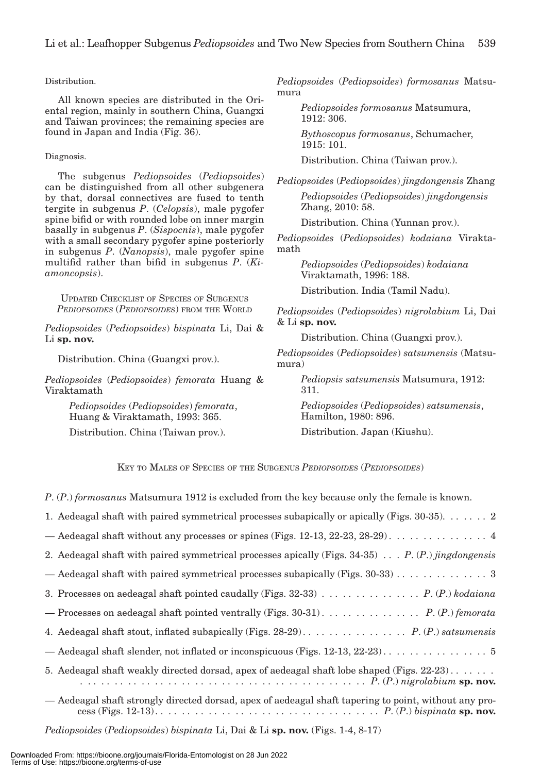#### Distribution.

All known species are distributed in the Oriental region, mainly in southern China, Guangxi and Taiwan provinces; the remaining species are found in Japan and India (Fig. 36).

#### Diagnosis.

The subgenus *Pediopsoides* (*Pediopsoides*) can be distinguished from all other subgenera by that, dorsal connectives are fused to tenth tergite in subgenus *P*. (*Celopsis*), male pygofer spine bifid or with rounded lobe on inner margin basally in subgenus *P*. (*Sispocnis*), male pygofer with a small secondary pygofer spine posteriorly in subgenus *P*. (*Nanopsis*), male pygofer spine multifid rather than bifid in subgenus *P*. (*Kiamoncopsis*).

UPDATED CHECKLIST OF SPECIES OF SUBGENUS *PEDIOPSOIDES* (*PEDIOPSOIDES*) FROM THE WORLD

*Pediopsoides* (*Pediopsoides*) *bispinata* Li, Dai & Li **sp. nov.**

Distribution. China (Guangxi prov.).

*Pediopsoides* (*Pediopsoides*) *femorata* Huang & Viraktamath

> *Pediopsoides* (*Pediopsoides*) *femorata*, Huang & Viraktamath, 1993: 365.

Distribution. China (Taiwan prov.).

*Pediopsoides* (*Pediopsoides*) *formosanus* Matsumura

*Pediopsoides formosanus* Matsumura, 1912: 306.

*Bythoscopus formosanus*, Schumacher, 1915: 101.

Distribution. China (Taiwan prov.).

*Pediopsoides* (*Pediopsoides*) *jingdongensis* Zhang *Pediopsoides* (*Pediopsoides*) *jingdongensis* Zhang, 2010: 58.

Distribution. China (Yunnan prov.).

*Pediopsoides* (*Pediopsoides*) *kodaiana* Viraktamath

> *Pediopsoides* (*Pediopsoides*) *kodaiana* Viraktamath, 1996: 188.

Distribution. India (Tamil Nadu).

*Pediopsoides* (*Pediopsoides*) *nigrolabium* Li, Dai & Li **sp. nov.**

Distribution. China (Guangxi prov.).

*Pediopsoides* (*Pediopsoides*) *satsumensis* (Matsumura)

> *Pediopsis satsumensis* Matsumura, 1912: 311.

> *Pediopsoides* (*Pediopsoides*) *satsumensis*, Hamilton, 1980: 896.

Distribution. Japan (Kiushu).

KEY TO MALES OF SPECIES OF THE SUBGENUS *PEDIOPSOIDES* (*PEDIOPSOIDES*)

*P*. (*P*.) *formosanus* Matsumura 1912 is excluded from the key because only the female is known.

| 1. Aedeagal shaft with paired symmetrical processes subapically or apically (Figs. $30-35$ ). 2                                                                                                                                                      |
|------------------------------------------------------------------------------------------------------------------------------------------------------------------------------------------------------------------------------------------------------|
| — Aedeagal shaft without any processes or spines (Figs. 12-13, 22-23, 28-29). $\dots \dots \dots \dots$                                                                                                                                              |
| 2. Aedeagal shaft with paired symmetrical processes apically (Figs. 34-35) $P.(P.)$ jingdongensis                                                                                                                                                    |
|                                                                                                                                                                                                                                                      |
|                                                                                                                                                                                                                                                      |
|                                                                                                                                                                                                                                                      |
|                                                                                                                                                                                                                                                      |
|                                                                                                                                                                                                                                                      |
| 5. Aedeagal shaft weakly directed dorsad, apex of aedeagal shaft lobe shaped (Figs. $22-23$ )<br>$\ldots$ $\ldots$ $\ldots$ $\ldots$ $\ldots$ $\ldots$ $\ldots$ $\ldots$ $\ldots$ $\ldots$ $\ldots$ $\ldots$ $\ldots$ $P. (P.)$ nigrolabium sp. nov. |
| — Aedeagal shaft strongly directed dorsad, apex of aedeagal shaft tapering to point, without any pro-                                                                                                                                                |

*Pediopsoides* (*Pediopsoides*) *bispinata* Li, Dai & Li **sp. nov.** (Figs. 1-4, 8-17)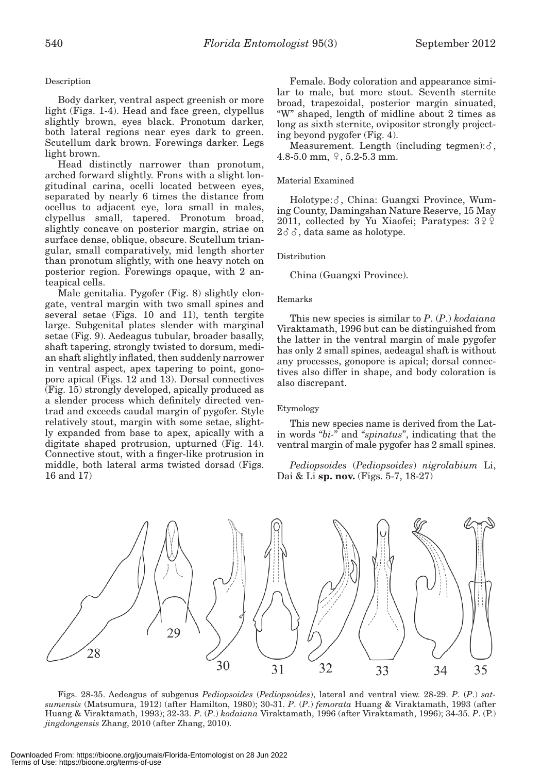## Description

Body darker, ventral aspect greenish or more light (Figs. 1-4). Head and face green, clypellus slightly brown, eyes black. Pronotum darker, both lateral regions near eyes dark to green. Scutellum dark brown. Forewings darker. Legs light brown.

Head distinctly narrower than pronotum, arched forward slightly. Frons with a slight longitudinal carina, ocelli located between eyes, separated by nearly 6 times the distance from ocellus to adjacent eye, lora small in males, clypellus small, tapered. Pronotum broad, slightly concave on posterior margin, striae on surface dense, oblique, obscure. Scutellum triangular, small comparatively, mid length shorter than pronotum slightly, with one heavy notch on posterior region. Forewings opaque, with 2 anteapical cells.

Male genitalia. Pygofer (Fig. 8) slightly elongate, ventral margin with two small spines and several setae (Figs. 10 and 11), tenth tergite large. Subgenital plates slender with marginal setae (Fig. 9). Aedeagus tubular, broader basally, shaft tapering, strongly twisted to dorsum, median shaft slightly inflated, then suddenly narrower in ventral aspect, apex tapering to point, gonopore apical (Figs. 12 and 13). Dorsal connectives (Fig. 15) strongly developed, apically produced as a slender process which definitely directed ventrad and exceeds caudal margin of pygofer. Style relatively stout, margin with some setae, slightly expanded from base to apex, apically with a digitate shaped protrusion, upturned (Fig. 14). Connective stout, with a finger-like protrusion in middle, both lateral arms twisted dorsad (Figs. 16 and 17)

Female. Body coloration and appearance similar to male, but more stout. Seventh sternite broad, trapezoidal, posterior margin sinuated, "W" shaped, length of midline about 2 times as long as sixth sternite, ovipositor strongly projecting beyond pygofer (Fig. 4).

Measurement. Length (including tegmen): $\delta$ , 4.8-5.0 mm,  $9, 5.2$ -5.3 mm.

## Material Examined

Holotype:  $\delta$ , China: Guangxi Province, Wuming County, Damingshan Nature Reserve, 15 May 2011, collected by Yu Xiaofei; Paratypes:  $3\sqrt[6]{\frac{1}{2}}$  $2\delta\delta$ , data same as holotype.

## Distribution

China (Guangxi Province).

### Remarks

This new species is similar to *P*. (*P*.) *kodaiana*  Viraktamath, 1996 but can be distinguished from the latter in the ventral margin of male pygofer has only 2 small spines, aedeagal shaft is without any processes, gonopore is apical; dorsal connectives also differ in shape, and body coloration is also discrepant.

#### Etymology

This new species name is derived from the Latin words "*bi-*" and "*spinatus*", indicating that the ventral margin of male pygofer has 2 small spines.

*Pediopsoides* (*Pediopsoides*) *nigrolabium* Li, Dai & Li **sp. nov.** (Figs. 5-7, 18-27)



Figs. 28-35. Aedeagus of subgenus *Pediopsoides* (*Pediopsoides*), lateral and ventral view. 28-29. *P*. (*P*.) *satsumensis* (Matsumura, 1912) (after Hamilton, 1980); 30-31. *P*. (*P*.) *femorata* Huang & Viraktamath, 1993 (after Huang & Viraktamath, 1993); 32-33. *P*. (*P*.) *kodaiana* Viraktamath, 1996 (after Viraktamath, 1996); 34-35. *P*. (P.) *jingdongensis* Zhang, 2010 (after Zhang, 2010).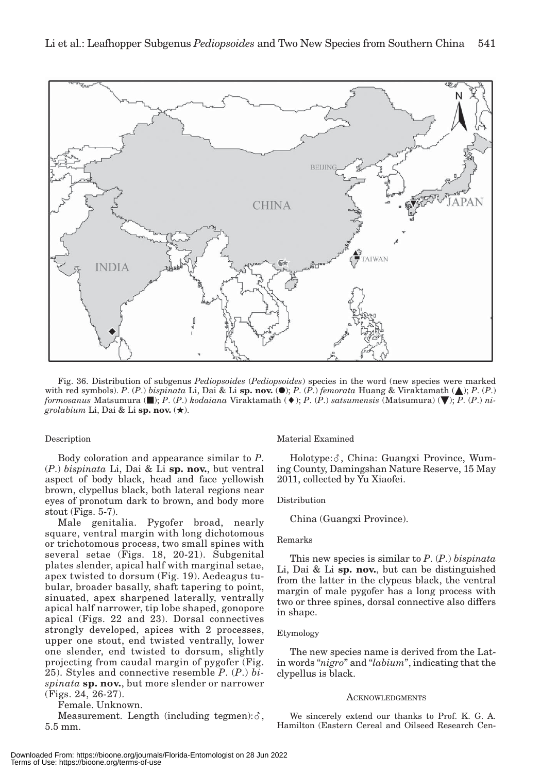

Fig. 36. Distribution of subgenus *Pediopsoides* (*Pediopsoides*) species in the word (new species were marked with red symbols). *P.* (*P.*) *bispinata* Li, Dai & Li sp. nov. ( $\bullet$ ); *P.* (*P.*) *femorata* Huang & Viraktamath ( $\bullet$ ); *P.* (*P.*) *formosanus* Matsumura ( $\blacksquare$ ); *P.* (*P.*) *kodaiana* Viraktamath ( $\blacklozenge$ ); *P.* (*P.*) *satsumensis* (Matsumura) ( $\nabla$ ); *P.* (*P.*) *nigrolabium* Li, Dai & Li sp. nov.  $(\star)$ .

#### Description

Body coloration and appearance similar to *P*. (*P*.) *bispinata* Li, Dai & Li **sp. nov.**, but ventral aspect of body black, head and face yellowish brown, clypellus black, both lateral regions near eyes of pronotum dark to brown, and body more stout (Figs. 5-7).

Male genitalia. Pygofer broad, nearly square, ventral margin with long dichotomous or trichotomous process, two small spines with several setae (Figs. 18, 20-21). Subgenital plates slender, apical half with marginal setae, apex twisted to dorsum (Fig. 19). Aedeagus tubular, broader basally, shaft tapering to point, sinuated, apex sharpened laterally, ventrally apical half narrower, tip lobe shaped, gonopore apical (Figs. 22 and 23). Dorsal connectives strongly developed, apices with 2 processes, upper one stout, end twisted ventrally, lower one slender, end twisted to dorsum, slightly projecting from caudal margin of pygofer (Fig. 25). Styles and connective resemble *P*. (*P*.) *bispinata* **sp. nov.**, but more slender or narrower (Figs. 24, 26-27).

Female. Unknown.

 $\text{Measurement. Length (including tegmen):} \delta,$ 5.5 mm.

Material Examined

Holotype:  $\delta$ , China: Guangxi Province, Wuming County, Damingshan Nature Reserve, 15 May 2011, collected by Yu Xiaofei.

#### Distribution

China (Guangxi Province).

#### Remarks

This new species is similar to *P*. (*P*.) *bispinata* Li, Dai & Li **sp. nov.**, but can be distinguished from the latter in the clypeus black, the ventral margin of male pygofer has a long process with two or three spines, dorsal connective also differs in shape.

#### Etymology

The new species name is derived from the Latin words "*nigro*" and "*labium*", indicating that the clypellus is black.

#### **ACKNOWLEDGMENTS**

We sincerely extend our thanks to Prof. K. G. A. Hamilton (Eastern Cereal and Oilseed Research Cen-